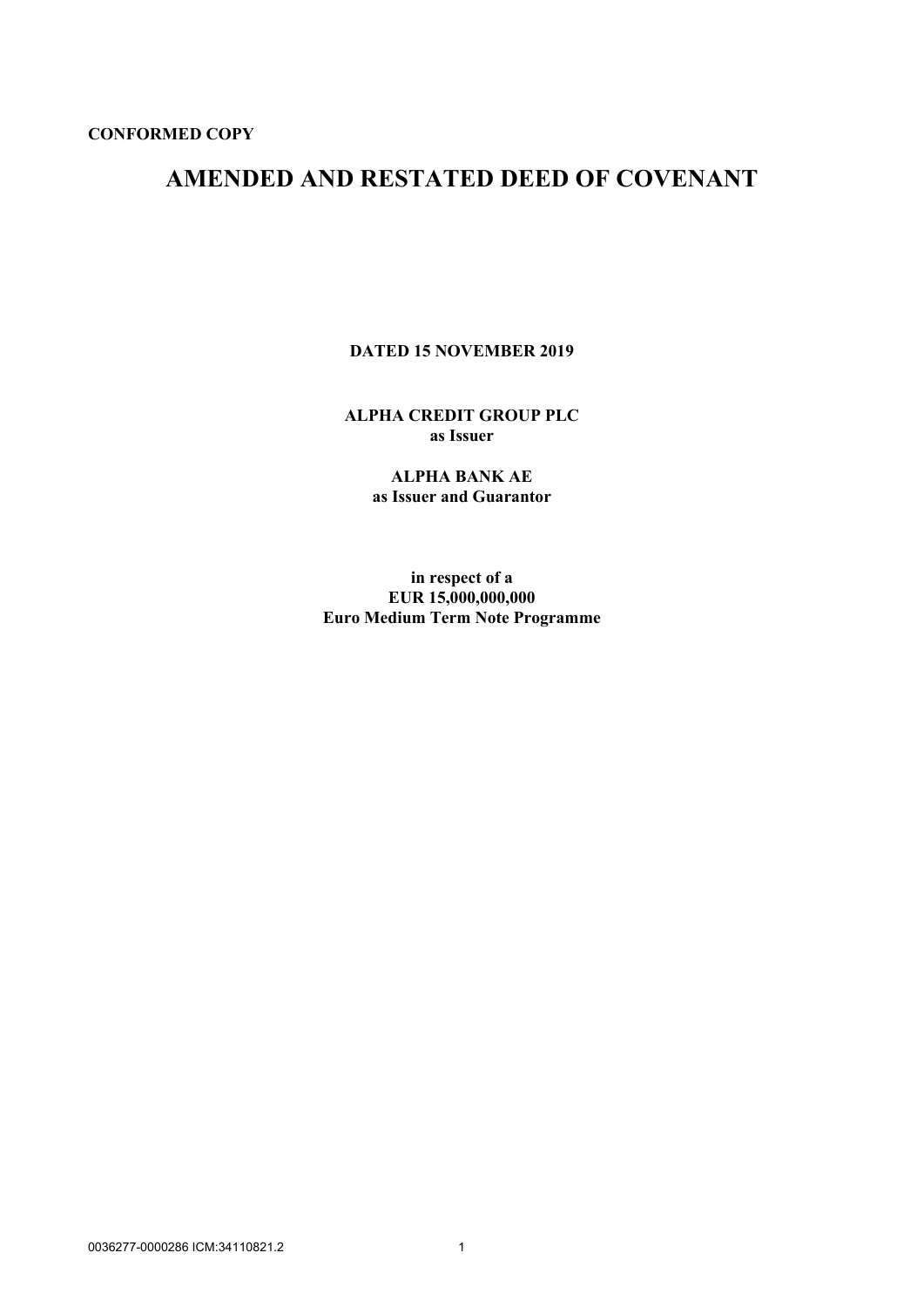# **AMENDED AND RESTATED DEED OF COVENANT**

**DATED 15 NOVEMBER 2019**

**ALPHA CREDIT GROUP PLC as Issuer**

> **ALPHA BANK AE as Issuer and Guarantor**

**in respect of a EUR 15,000,000,000 Euro Medium Term Note Programme**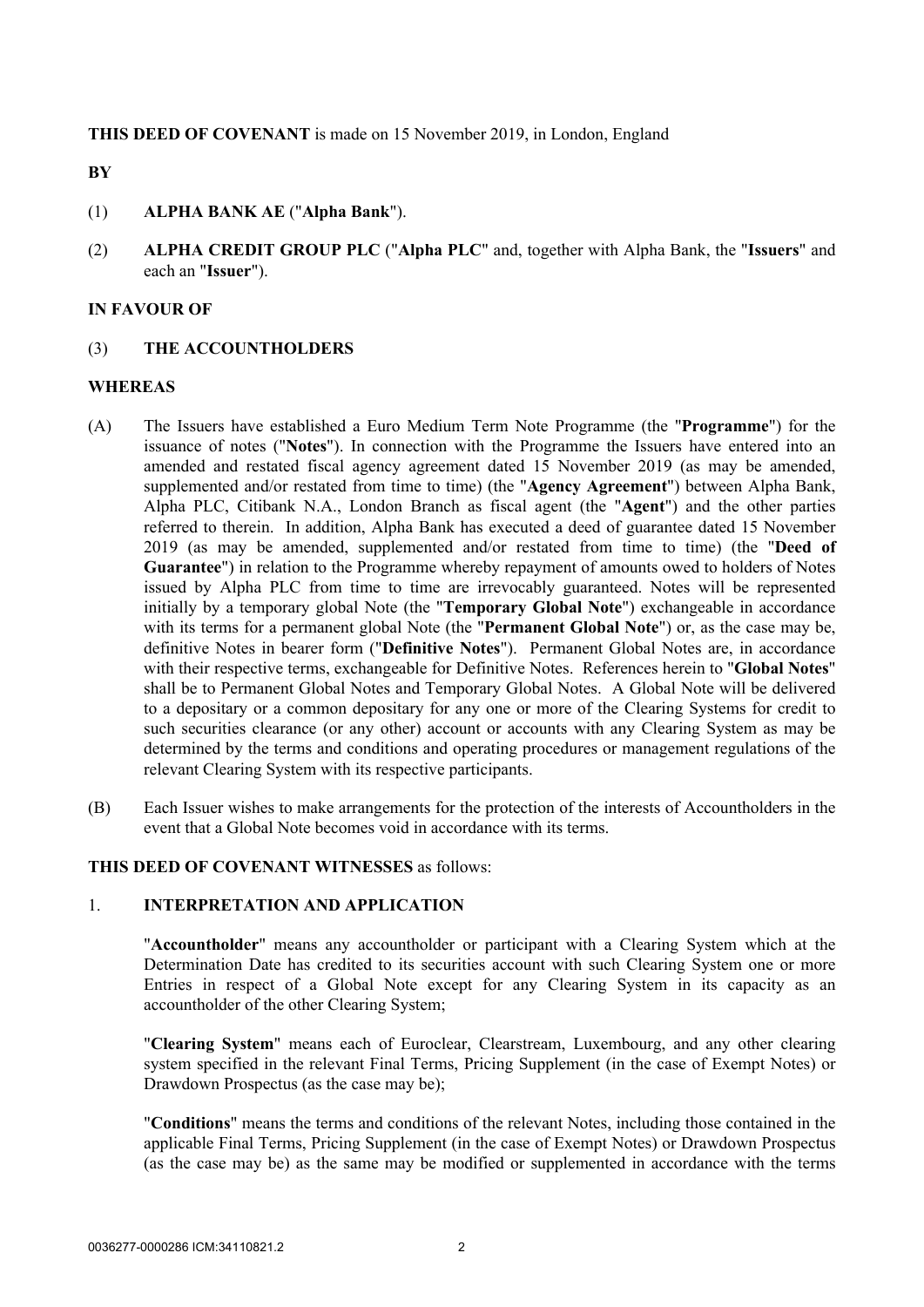**THIS DEED OF COVENANT** is made on 15 November 2019, in London, England

**BY**

- (1) **ALPHA BANK AE** ("**Alpha Bank**").
- (2) **ALPHA CREDIT GROUP PLC** ("**Alpha PLC**" and, together with Alpha Bank, the "**Issuers**" and each an "**Issuer**").

#### **IN FAVOUR OF**

(3) **THE ACCOUNTHOLDERS**

#### **WHEREAS**

- (A) The Issuers have established a Euro Medium Term Note Programme (the "**Programme**") for the issuance of notes ("**Notes**"). In connection with the Programme the Issuers have entered into an amended and restated fiscal agency agreement dated 15 November 2019 (as may be amended, supplemented and/or restated from time to time) (the "**Agency Agreement**") between Alpha Bank, Alpha PLC, Citibank N.A., London Branch as fiscal agent (the "**Agent**") and the other parties referred to therein. In addition, Alpha Bank has executed a deed of guarantee dated 15 November 2019 (as may be amended, supplemented and/or restated from time to time) (the "**Deed of Guarantee**") in relation to the Programme whereby repayment of amounts owed to holders of Notes issued by Alpha PLC from time to time are irrevocably guaranteed. Notes will be represented initially by a temporary global Note (the "**Temporary Global Note**") exchangeable in accordance with its terms for a permanent global Note (the "**Permanent Global Note**") or, as the case may be, definitive Notes in bearer form ("**Definitive Notes**"). Permanent Global Notes are, in accordance with their respective terms, exchangeable for Definitive Notes. References herein to "**Global Notes**" shall be to Permanent Global Notes and Temporary Global Notes. A Global Note will be delivered to a depositary or a common depositary for any one or more of the Clearing Systems for credit to such securities clearance (or any other) account or accounts with any Clearing System as may be determined by the terms and conditions and operating procedures or management regulations of the relevant Clearing System with its respective participants.
- (B) Each Issuer wishes to make arrangements for the protection of the interests of Accountholders in the event that a Global Note becomes void in accordance with its terms.

#### **THIS DEED OF COVENANT WITNESSES** as follows:

#### 1. **INTERPRETATION AND APPLICATION**

"**Accountholder**" means any accountholder or participant with a Clearing System which at the Determination Date has credited to its securities account with such Clearing System one or more Entries in respect of a Global Note except for any Clearing System in its capacity as an accountholder of the other Clearing System;

"**Clearing System**" means each of Euroclear, Clearstream, Luxembourg, and any other clearing system specified in the relevant Final Terms, Pricing Supplement (in the case of Exempt Notes) or Drawdown Prospectus (as the case may be);

"**Conditions**" means the terms and conditions of the relevant Notes, including those contained in the applicable Final Terms, Pricing Supplement (in the case of Exempt Notes) or Drawdown Prospectus (as the case may be) as the same may be modified or supplemented in accordance with the terms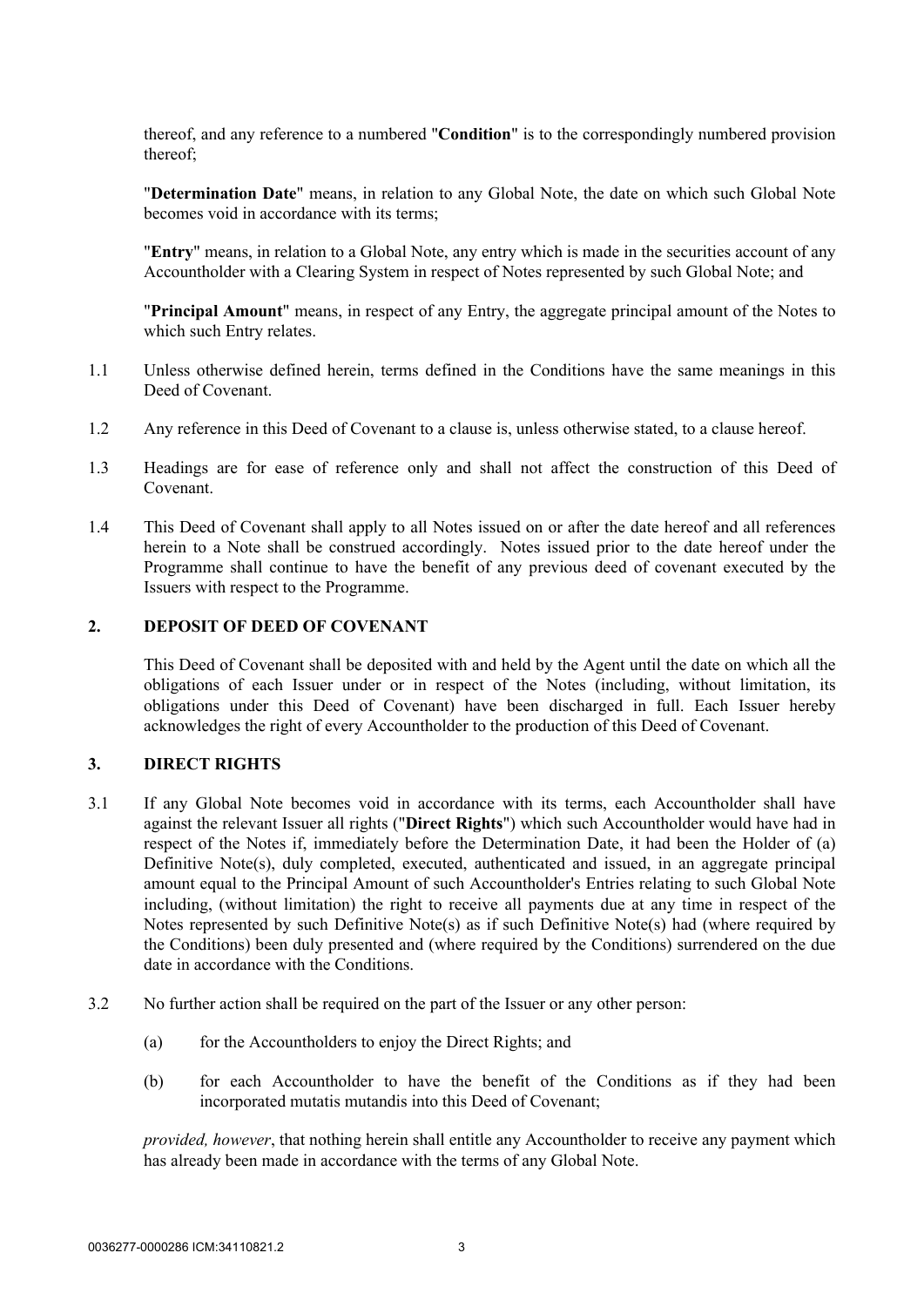thereof, and any reference to a numbered "**Condition**" is to the correspondingly numbered provision thereof;

"**Determination Date**" means, in relation to any Global Note, the date on which such Global Note becomes void in accordance with its terms;

"**Entry**" means, in relation to a Global Note, any entry which is made in the securities account of any Accountholder with a Clearing System in respect of Notes represented by such Global Note; and

"**Principal Amount**" means, in respect of any Entry, the aggregate principal amount of the Notes to which such Entry relates.

- 1.1 Unless otherwise defined herein, terms defined in the Conditions have the same meanings in this Deed of Covenant.
- 1.2 Any reference in this Deed of Covenant to a clause is, unless otherwise stated, to a clause hereof.
- 1.3 Headings are for ease of reference only and shall not affect the construction of this Deed of Covenant.
- 1.4 This Deed of Covenant shall apply to all Notes issued on or after the date hereof and all references herein to a Note shall be construed accordingly. Notes issued prior to the date hereof under the Programme shall continue to have the benefit of any previous deed of covenant executed by the Issuers with respect to the Programme.

# **2. DEPOSIT OF DEED OF COVENANT**

This Deed of Covenant shall be deposited with and held by the Agent until the date on which all the obligations of each Issuer under or in respect of the Notes (including, without limitation, its obligations under this Deed of Covenant) have been discharged in full. Each Issuer hereby acknowledges the right of every Accountholder to the production of this Deed of Covenant.

#### **3. DIRECT RIGHTS**

- 3.1 If any Global Note becomes void in accordance with its terms, each Accountholder shall have against the relevant Issuer all rights ("**Direct Rights**") which such Accountholder would have had in respect of the Notes if, immediately before the Determination Date, it had been the Holder of (a) Definitive Note(s), duly completed, executed, authenticated and issued, in an aggregate principal amount equal to the Principal Amount of such Accountholder's Entries relating to such Global Note including, (without limitation) the right to receive all payments due at any time in respect of the Notes represented by such Definitive Note(s) as if such Definitive Note(s) had (where required by the Conditions) been duly presented and (where required by the Conditions) surrendered on the due date in accordance with the Conditions.
- 3.2 No further action shall be required on the part of the Issuer or any other person:
	- (a) for the Accountholders to enjoy the Direct Rights; and
	- (b) for each Accountholder to have the benefit of the Conditions as if they had been incorporated mutatis mutandis into this Deed of Covenant;

*provided, however*, that nothing herein shall entitle any Accountholder to receive any payment which has already been made in accordance with the terms of any Global Note.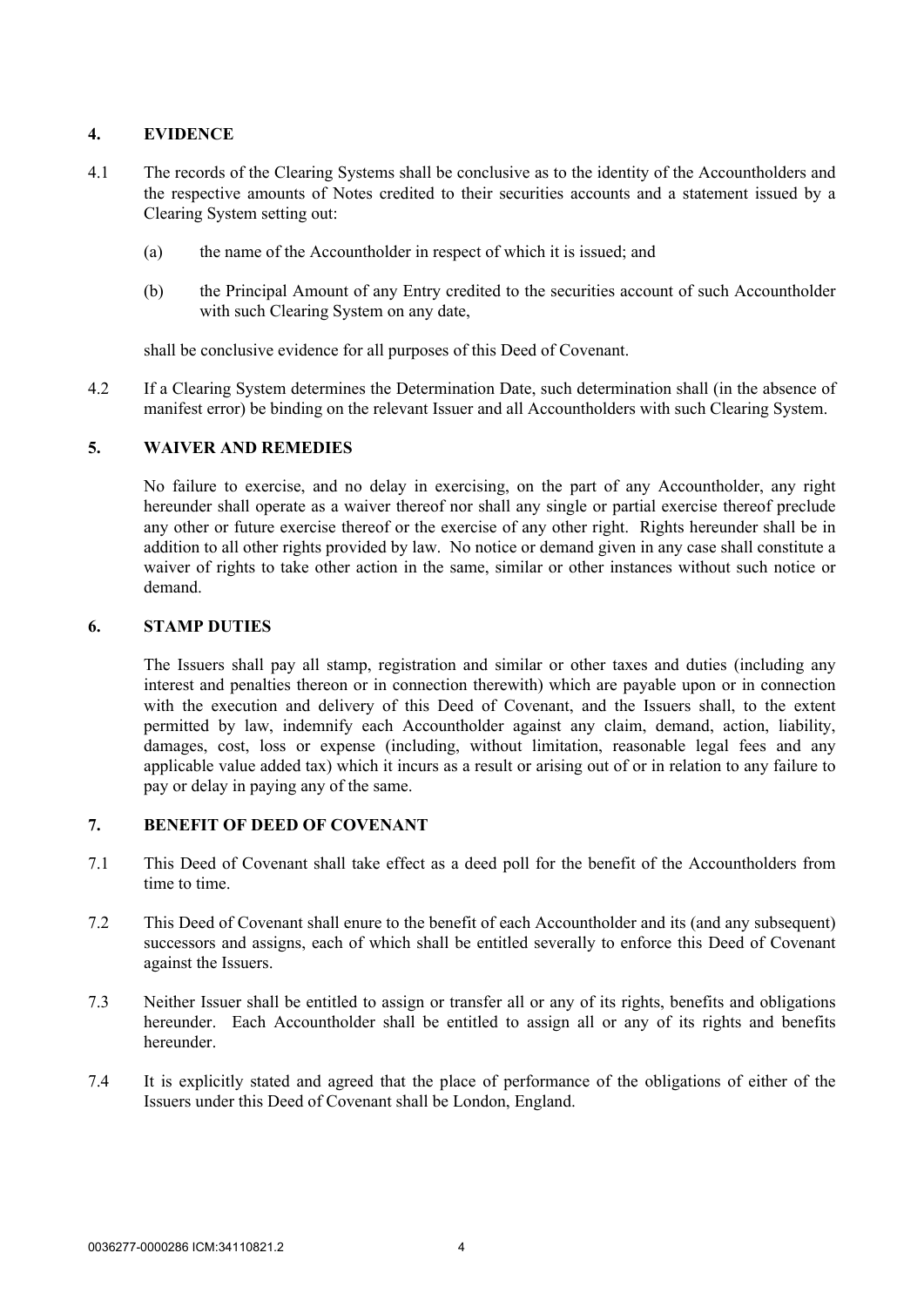# **4. EVIDENCE**

- 4.1 The records of the Clearing Systems shall be conclusive as to the identity of the Accountholders and the respective amounts of Notes credited to their securities accounts and a statement issued by a Clearing System setting out:
	- (a) the name of the Accountholder in respect of which it is issued; and
	- (b) the Principal Amount of any Entry credited to the securities account of such Accountholder with such Clearing System on any date,

shall be conclusive evidence for all purposes of this Deed of Covenant.

4.2 If a Clearing System determines the Determination Date, such determination shall (in the absence of manifest error) be binding on the relevant Issuer and all Accountholders with such Clearing System.

## **5. WAIVER AND REMEDIES**

No failure to exercise, and no delay in exercising, on the part of any Accountholder, any right hereunder shall operate as a waiver thereof nor shall any single or partial exercise thereof preclude any other or future exercise thereof or the exercise of any other right. Rights hereunder shall be in addition to all other rights provided by law. No notice or demand given in any case shall constitute a waiver of rights to take other action in the same, similar or other instances without such notice or demand.

#### **6. STAMP DUTIES**

The Issuers shall pay all stamp, registration and similar or other taxes and duties (including any interest and penalties thereon or in connection therewith) which are payable upon or in connection with the execution and delivery of this Deed of Covenant, and the Issuers shall, to the extent permitted by law, indemnify each Accountholder against any claim, demand, action, liability, damages, cost, loss or expense (including, without limitation, reasonable legal fees and any applicable value added tax) which it incurs as a result or arising out of or in relation to any failure to pay or delay in paying any of the same.

# **7. BENEFIT OF DEED OF COVENANT**

- 7.1 This Deed of Covenant shall take effect as a deed poll for the benefit of the Accountholders from time to time.
- 7.2 This Deed of Covenant shall enure to the benefit of each Accountholder and its (and any subsequent) successors and assigns, each of which shall be entitled severally to enforce this Deed of Covenant against the Issuers.
- 7.3 Neither Issuer shall be entitled to assign or transfer all or any of its rights, benefits and obligations hereunder. Each Accountholder shall be entitled to assign all or any of its rights and benefits hereunder.
- 7.4 It is explicitly stated and agreed that the place of performance of the obligations of either of the Issuers under this Deed of Covenant shall be London, England.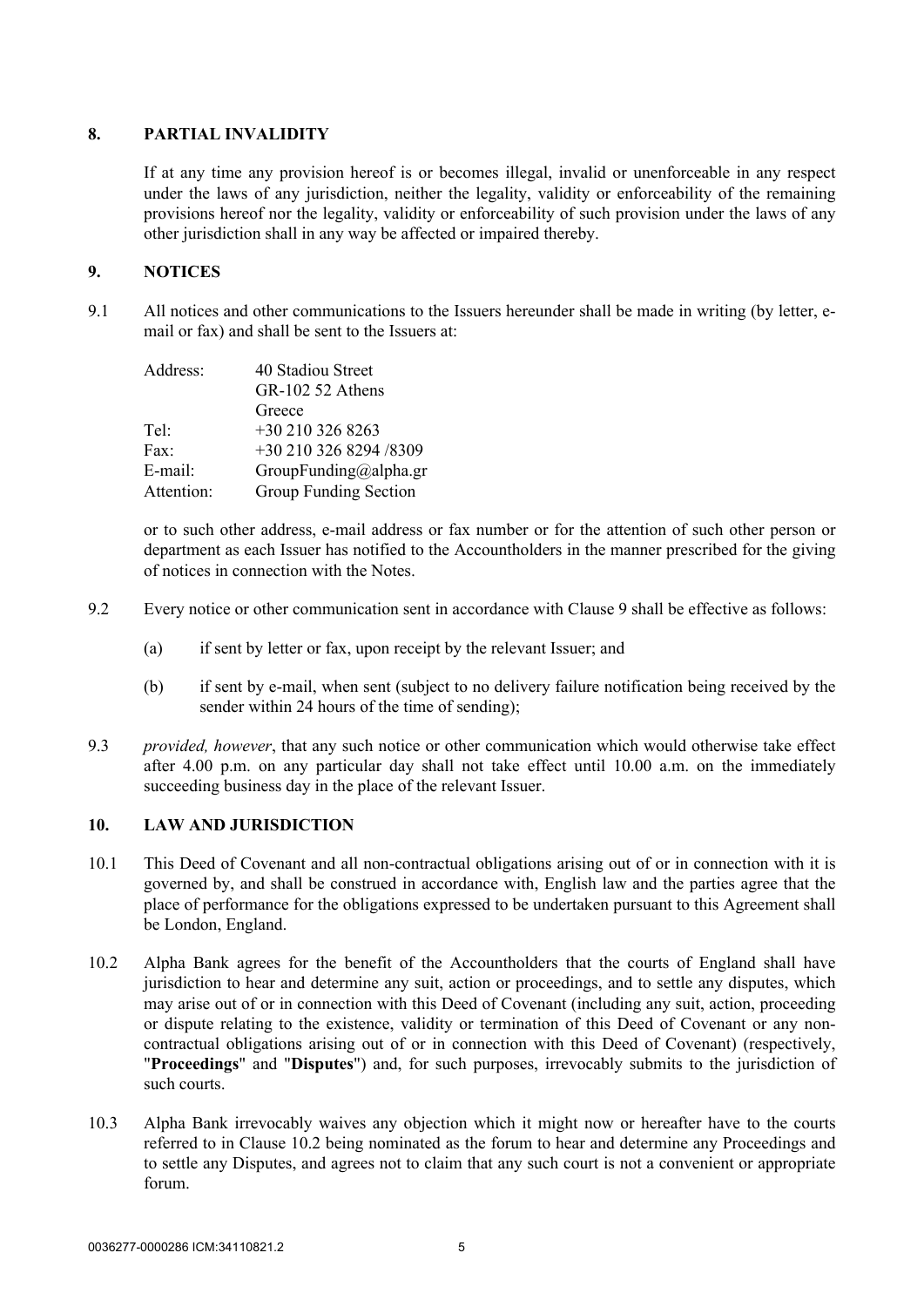### **8. PARTIAL INVALIDITY**

If at any time any provision hereof is or becomes illegal, invalid or unenforceable in any respect under the laws of any jurisdiction, neither the legality, validity or enforceability of the remaining provisions hereof nor the legality, validity or enforceability of such provision under the laws of any other jurisdiction shall in any way be affected or impaired thereby.

# <span id="page-4-0"></span>**9. NOTICES**

9.1 All notices and other communications to the Issuers hereunder shall be made in writing (by letter, email or fax) and shall be sent to the Issuers at:

| Address:   | 40 Stadiou Street      |
|------------|------------------------|
|            | GR-102 52 Athens       |
|            | Greece                 |
| Tel·       | +30 210 326 8263       |
| Fax:       | +30 210 326 8294 /8309 |
| E-mail:    | GroupFunding@alpha.gr  |
| Attention: | Group Funding Section  |

or to such other address, e-mail address or fax number or for the attention of such other person or department as each Issuer has notified to the Accountholders in the manner prescribed for the giving of notices in connection with the Notes.

- 9.2 Every notice or other communication sent in accordance with Clause [9](#page-4-0) shall be effective as follows:
	- (a) if sent by letter or fax, upon receipt by the relevant Issuer; and
	- (b) if sent by e-mail, when sent (subject to no delivery failure notification being received by the sender within 24 hours of the time of sending);
- 9.3 *provided, however*, that any such notice or other communication which would otherwise take effect after 4.00 p.m. on any particular day shall not take effect until 10.00 a.m. on the immediately succeeding business day in the place of the relevant Issuer.

# **10. LAW AND JURISDICTION**

- 10.1 This Deed of Covenant and all non-contractual obligations arising out of or in connection with it is governed by, and shall be construed in accordance with, English law and the parties agree that the place of performance for the obligations expressed to be undertaken pursuant to this Agreement shall be London, England.
- <span id="page-4-1"></span>10.2 Alpha Bank agrees for the benefit of the Accountholders that the courts of England shall have jurisdiction to hear and determine any suit, action or proceedings, and to settle any disputes, which may arise out of or in connection with this Deed of Covenant (including any suit, action, proceeding or dispute relating to the existence, validity or termination of this Deed of Covenant or any noncontractual obligations arising out of or in connection with this Deed of Covenant) (respectively, "**Proceedings**" and "**Disputes**") and, for such purposes, irrevocably submits to the jurisdiction of such courts.
- 10.3 Alpha Bank irrevocably waives any objection which it might now or hereafter have to the courts referred to in Clause [10.2](#page-4-1) being nominated as the forum to hear and determine any Proceedings and to settle any Disputes, and agrees not to claim that any such court is not a convenient or appropriate forum.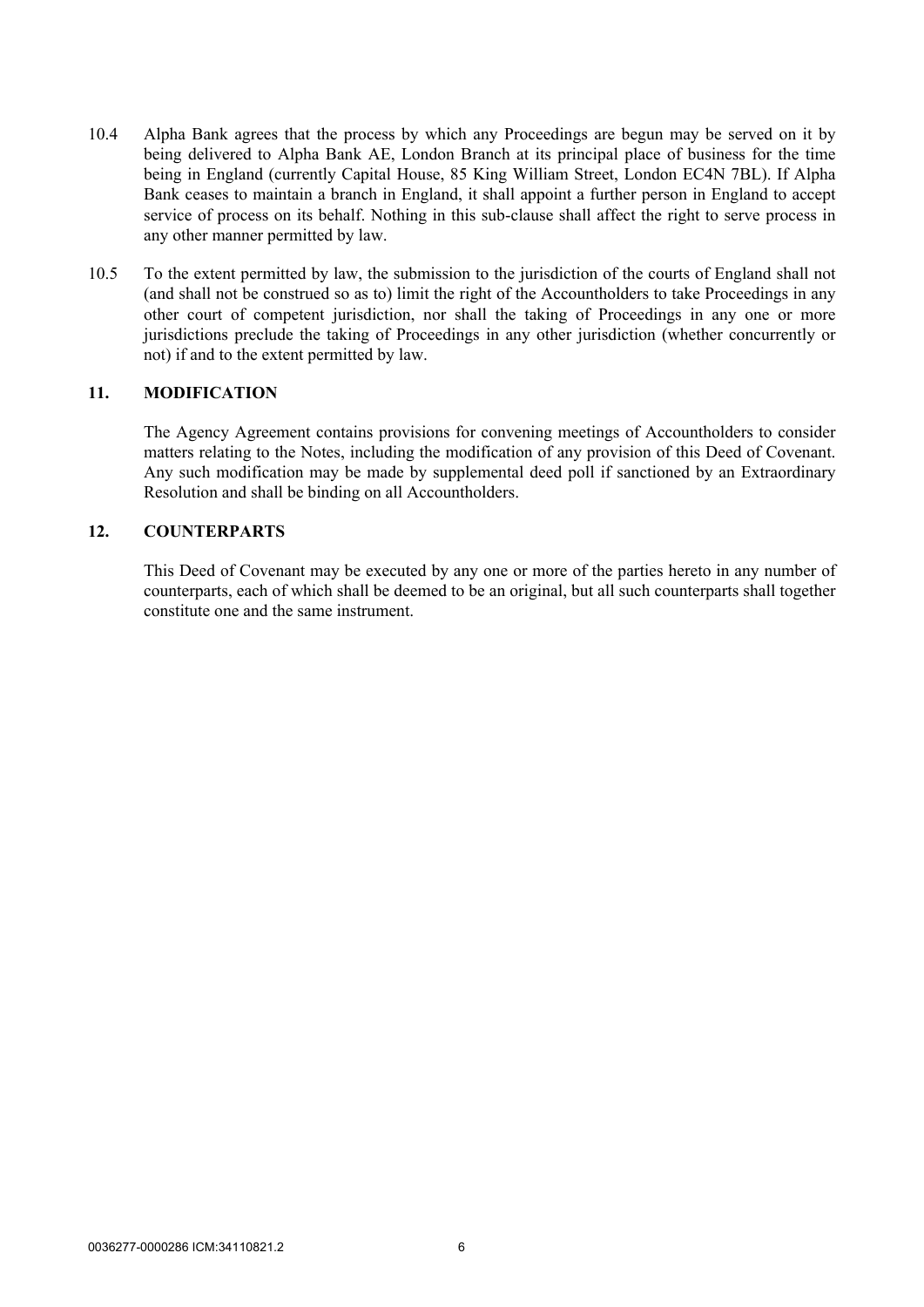- 10.4 Alpha Bank agrees that the process by which any Proceedings are begun may be served on it by being delivered to Alpha Bank AE, London Branch at its principal place of business for the time being in England (currently Capital House, 85 King William Street, London EC4N 7BL). If Alpha Bank ceases to maintain a branch in England, it shall appoint a further person in England to accept service of process on its behalf. Nothing in this sub-clause shall affect the right to serve process in any other manner permitted by law.
- 10.5 To the extent permitted by law, the submission to the jurisdiction of the courts of England shall not (and shall not be construed so as to) limit the right of the Accountholders to take Proceedings in any other court of competent jurisdiction, nor shall the taking of Proceedings in any one or more jurisdictions preclude the taking of Proceedings in any other jurisdiction (whether concurrently or not) if and to the extent permitted by law.

#### **11. MODIFICATION**

The Agency Agreement contains provisions for convening meetings of Accountholders to consider matters relating to the Notes, including the modification of any provision of this Deed of Covenant. Any such modification may be made by supplemental deed poll if sanctioned by an Extraordinary Resolution and shall be binding on all Accountholders.

# **12. COUNTERPARTS**

This Deed of Covenant may be executed by any one or more of the parties hereto in any number of counterparts, each of which shall be deemed to be an original, but all such counterparts shall together constitute one and the same instrument.